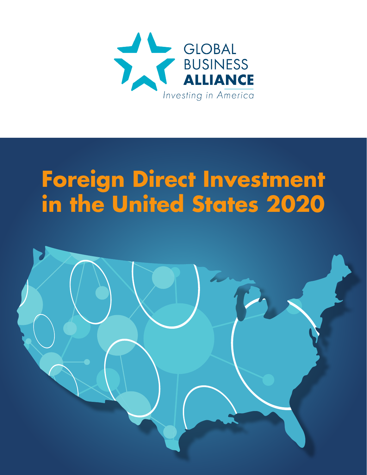

# **Foreign Direct Investment in the United States 2020**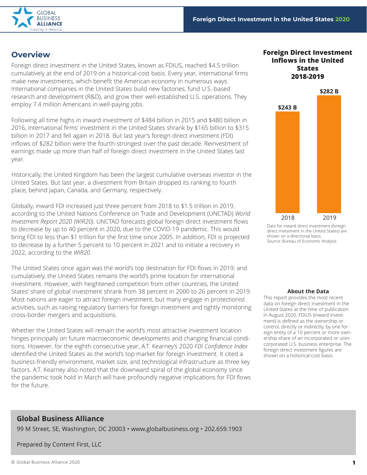

# **Overview**

Foreign direct investment in the United States, known as FDIUS, reached \$4.5 trillion cumulatively at the end of 2019 on a historical-cost basis. Every year, international firms make new investments, which benefit the American economy in numerous ways. International companies in the United States build new factories, fund U.S.-based research and development (R&D), and grow their well-established U.S. operations. They employ 7.4 million Americans in well-paying jobs.

Following all time highs in inward investment of \$484 billion in 2015 and \$480 billion in 2016, international firms' investment in the United States shrank by \$165 billion to \$315 billion in 2017 and fell again in 2018. But last year's foreign direct investment (FDI) inflows of \$282 billion were the fourth-strongest over the past decade. Reinvestment of earnings made up more than half of foreign direct investment in the United States last year.

Historically, the United Kingdom has been the largest cumulative overseas investor in the United States. But last year, a divestment from Britain dropped its ranking to fourth place, behind Japan, Canada, and Germany, respectively.

Globally, inward FDI increased just three percent from 2018 to \$1.5 trillion in 2019, according to the United Nations Conference on Trade and Development (UNCTAD) *World Investment Report 2020 (WIR20)*. UNCTAD forecasts global foreign direct investment flows to decrease by up to 40 percent in 2020, due to the COVID-19 pandemic. This would bring FDI to less than \$1 trillion for the first time since 2005. In addition, FDI is projected to decrease by a further 5 percent to 10 percent in 2021 and to initiate a recovery in 2022, according to the *WIR20*.

The United States once again was the world's top destination for FDI flows in 2019; and cumulatively, the United States remains the world's prime location for international investment. However, with heightened competition from other countries, the United States' share of global investment shrank from 38 percent in 2000 to 26 percent in 2019. Most nations are eager to attract foreign investment, but many engage in protectionist activities, such as raising regulatory barriers for foreign investment and tightly monitoring cross-border mergers and acquisitions.

Whether the United States will remain the world's most attractive investment location hinges principally on future macroeconomic developments and changing financial conditions. However, for the eighth consecutive year, A.T. Kearney's 2020 *FDI Confidence Index* identified the United States as the world's top market for foreign investment. It cited a business-friendly environment, market size, and technological infrastructure as three key factors. A.T. Kearney also noted that the downward spiral of the global economy since the pandemic took hold in March will have profoundly negative implications for FDI flows for the future.

### **Foreign Direct Investment Inflows in the United States 2018-2019**



Data for inward direct investment (foreign direct investment in the United States) are shown on a directional basis. Source: Bureau of Economic Analysis

### **About the Data**

This report provides the most recent data on foreign direct investment in the United States at the time of publication in August 2020. FDIUS (inward investment) is defined as the ownership or control, directly or indirectly, by one foreign entity of a 10 percent or more ownership share of an incorporated or unincorporated U.S. business enterprise. The foreign direct investment figures are shown on a historical-cost basis.

### **Global Business Alliance**

99 M Street, SE, Washington, DC 20003 • www.globalbusiness.org • 202.659.1903

Prepared by Content First, LLC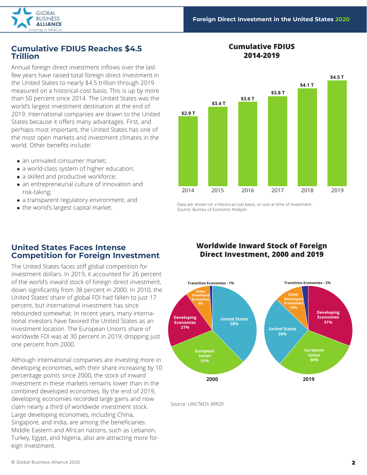

### **Cumulative FDIUS Reaches \$4.5 Trillion**

Annual foreign direct investment inflows over the last few years have raised total foreign direct investment in the United States to nearly \$4.5 trillion through 2019 measured on a historical-cost basis. This is up by more than 50 percent since 2014. The United States was the world's largest investment destination at the end of 2019. International companies are drawn to the United States because it offers many advantages. First, and perhaps most important, the United States has one of the most open markets and investment climates in the world. Other benefits include:

- an unrivaled consumer market;
- a world-class system of higher education;
- a skilled and productive workforce;
- an entrepreneurial culture of innovation and risk-taking;
- a transparent regulatory environment; and
- the world's largest capital market.

### **Cumulative FDIUS 2014-2019**



Data are shown on a historical-cost basis, or cost at time of investment. Source: Bureau of Economic Analysis

### **United States Faces Intense Competition for Foreign Investment**

The United States faces stiff global competition for investment dollars. In 2019, it accounted for 26 percent of the world's inward stock of foreign direct investment, down significantly from 38 percent in 2000. In 2010, the United States' share of global FDI had fallen to just 17 percent, but international investment has since rebounded somewhat. In recent years, many international investors have favored the United States as an investment location. The European Union's share of worldwide FDI was at 30 percent in 2019, dropping just one percent from 2000.

Although international companies are investing more in developing economies, with their share increasing by 10 percentage points since 2000, the stock of inward investment in these markets remains lower than in the combined developed economies. By the end of 2019, developing economies recorded large gains and now claim nearly a third of worldwide investment stock. Large developing economies, including China, Singapore, and India, are among the beneficiaries. Middle Eastern and African nations, such as Lebanon, Turkey, Egypt, and Nigeria, also are attracting more foreign investment.

### **Worldwide Inward Stock of Foreign Direct Investment, 2000 and 2019**



Source: UNCTAD's *WIR20*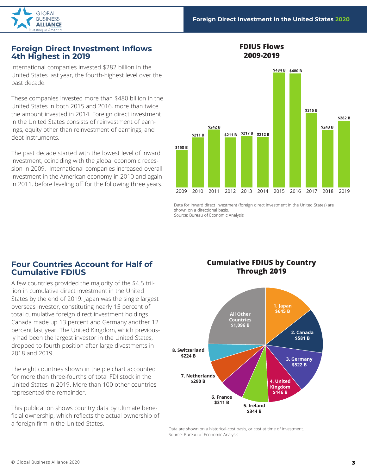

### **Foreign Direct Investment Inflows 4th Highest in 2019**

International companies invested \$282 billion in the United States last year, the fourth-highest level over the past decade.

These companies invested more than \$480 billion in the United States in both 2015 and 2016, more than twice the amount invested in 2014. Foreign direct investment in the United States consists of reinvestment of earnings, equity other than reinvestment of earnings, and debt instruments.

The past decade started with the lowest level of inward investment, coinciding with the global economic recession in 2009. International companies increased overall investment in the American economy in 2010 and again in 2011, before leveling off for the following three years.



Data for inward direct investment (foreign direct investment in the United States) are shown on a directional basis. Source: Bureau of Economic Analysis

### **Four Countries Account for Half of Cumulative FDIUS**

A few countries provided the majority of the \$4.5 trillion in cumulative direct investment in the United States by the end of 2019. Japan was the single largest overseas investor, constituting nearly 15 percent of total cumulative foreign direct investment holdings. Canada made up 13 percent and Germany another 12 percent last year. The United Kingdom, which previously had been the largest investor in the United States, dropped to fourth position after large divestments in 2018 and 2019.

The eight countries shown in the pie chart accounted for more than three-fourths of total FDI stock in the United States in 2019. More than 100 other countries represented the remainder.

This publication shows country data by ultimate beneficial ownership, which reflects the actual ownership of a foreign firm in the United States.

### **Cumulative FDIUS by Country Through 2019**

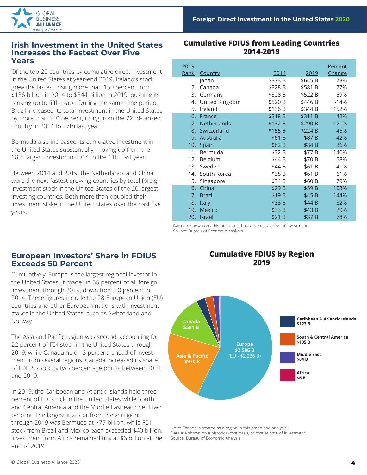

### **Irish Investment in the United States Increases the Fastest Over Five Years**

Of the top 20 countries by cumulative direct investment in the United States at year-end 2019, Ireland's stock grew the fastest, rising more than 150 percent from \$136 billion in 2014 to \$344 billion in 2019, pushing its ranking up to fifth place. During the same time period, Brazil increased its total investment in the United States by more than 140 percent, rising from the 22nd-ranked country in 2014 to 17th last year.

Bermuda also increased its cumulative investment in the United States substantially, moving up from the 18th largest investor in 2014 to the 11th last year.

Between 2014 and 2019, the Netherlands and China were the next fastest growing countries by total foreign investment stock in the United States of the 20 largest investing countries. Both more than doubled their investment stake in the United States over the past five years.

### **Cumulative FDIUS from Leading Countries 2014-2019**

| 2019<br><u>Rank</u> | Country            | 2014              | 2019    | Percent<br>Change |
|---------------------|--------------------|-------------------|---------|-------------------|
| 1.                  | Japan              | \$373 B           | \$645 B | 73%               |
| 2.                  | Canada             | \$328 B           | \$581 B | 77%               |
| 3.                  | Germany            | \$328 B           | \$522 B | 59%               |
| 4.                  | United Kingdom     | \$520 B           | \$446 B | $-14%$            |
| 5.                  | Ireland            | \$136 B           | \$344 B | 152%              |
| 6.                  | France             | \$218 B           | \$311 B | 42%               |
| 7.                  | <b>Netherlands</b> | \$132 B           | \$290 B | 121%              |
| 8.                  | Switzerland        | \$155 B           | \$224 B | 45%               |
| 9.                  | Australia          | \$61 B            | \$87 B  | 42%               |
| 10.                 | Spain              | \$62 B            | \$84 B  | 36%               |
| 11.                 | Bermuda            | \$32 B            | \$77 B  | 140%              |
| 12.                 | Belgium            | \$44 B            | \$70 B  | 58%               |
| 13.                 | Sweden             | \$44 B            | \$61 B  | 41%               |
| 14.                 | South Korea        | \$38 B            | \$61 B  | 61%               |
| 15.                 | Singapore          | \$34 B            | \$60 B  | 79%               |
| 16.                 | China              | \$29 B            | \$59 B  | 103%              |
| 17.                 | <b>Brazil</b>      | \$19 <sub>B</sub> | \$45 B  | 144%              |
| 18.                 | <b>Italy</b>       | \$33 B            | \$44 B  | 32%               |
| 19.                 | <b>Mexico</b>      | \$33 B            | \$43 B  | 29%               |
| 20.                 | <b>Israel</b>      | \$21 B            | \$37 B  | 78%               |

Data are shown on a historical-cost basis, or cost at time of investment. Source: Bureau of Economic Analysis

### **European Investors' Share in FDIUS Exceeds 50 Percent**

Cumulatively, Europe is the largest regional investor in the United States. It made up 56 percent of all foreign investment through 2019, down from 60 percent in 2014. These figures include the 28 European Union (EU) countries and other European nations with investment stakes in the United States, such as Switzerland and Norway.

The Asia and Pacific region was second, accounting for 22 percent of FDI stock in the United States through 2019, while Canada held 13 percent, ahead of investment from several regions. Canada increased its share of FDIUS stock by two percentage points between 2014 and 2019.

In 2019, the Caribbean and Atlantic Islands held three percent of FDI stock in the United States while South and Central America and the Middle East each held two percent. The largest investor from these regions through 2019 was Bermuda at \$77 billion, while FDI stock from Brazil and Mexico each exceeded \$40 billion. Investment from Africa remained tiny at \$6 billion at the end of 2019.

### **Cumulative FDIUS by Region 2019**



Note: Canada is treated as a region in this graph and analysis. Data are shown on a historical-cost basis, or cost at time of investment. Source: Bureau of Economic Analysis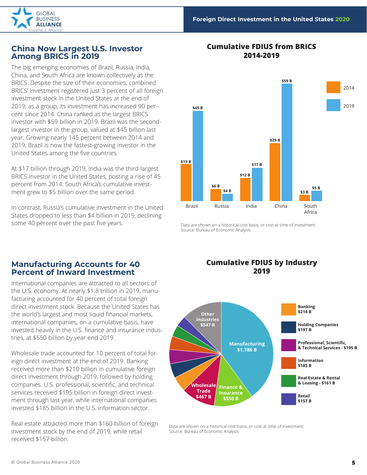

### **2014-2019 China Now Largest U.S. Investor Among BRICS in 2019**

The big emerging economies of Brazil, Russia, India, China, and South Africa are known collectively as the BRICS. Despite the size of their economies, combined BRICS' investment registered just 3 percent of all foreign investment stock in the United States at the end of 2019; as a group, its investment has increased 90 percent since 2014. China ranked as the largest BRICS investor with \$59 billion in 2019. Brazil was the secondlargest investor in the group, valued at \$45 billion last year. Growing nearly 145 percent between 2014 and 2019, Brazil is now the fastest-growing investor in the United States among the five countries.

At \$17 billion through 2019, India was the third-largest BRICS investor in the United States, posting a rise of 45 percent from 2014. South Africa's cumulative investment grew to \$5 billion over the same period.

In contrast, Russia's cumulative investment in the United States dropped to less than \$4 billion in 2019, declining some 40 percent over the past five years. The state of the state are shown on a historical-cost basis, or cost at time of investment.

# **Cumulative FDIUS from BRICS**



Source: Bureau of Economic Analysis

### **Manufacturing Accounts for 40 Percent of Inward Investment**

International companies are attracted to all sectors of the U.S. economy. At nearly \$1.8 trillion in 2019, manufacturing accounted for 40 percent of total foreign direct investment stock. Because the United States has the world's largest and most liquid financial markets, international companies, on a cumulative basis, have invested heavily in the U.S. finance and insurance industries, at \$550 billion by year-end 2019.

Wholesale trade accounted for 10 percent of total foreign direct investment at the end of 2019. Banking received more than \$210 billion in cumulative foreign direct investment through 2019, followed by holding companies. U.S. professional, scientific, and technical services received \$195 billion in foreign direct investment through last year, while international companies invested \$185 billion in the U.S. information sector.

Real estate attracted more than \$160 billion of foreign investment stock by the end of 2019, while retail received \$157 billion.

### **Cumulative FDIUS by Industry 2019**

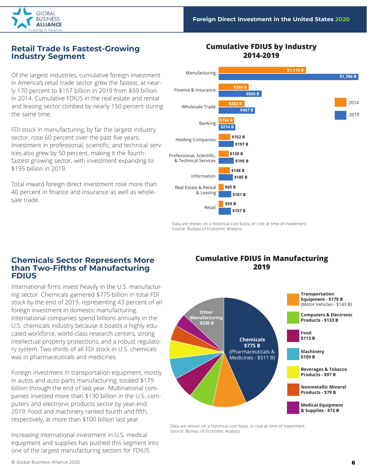

### **Retail Trade Is Fastest-Growing Industry Segment**

Of the largest industries, cumulative foreign investment in America's retail trade sector grew the fastest, at nearly 170 percent to \$157 billion in 2019 from \$59 billion in 2014. Cumulative FDIUS in the real estate and rental and leasing sector climbed by nearly 150 percent during the same time.

FDI stock in manufacturing, by far the largest industry sector, rose 60 percent over the past five years. Investment in professional, scientific, and technical services also grew by 50 percent, making it the fourthfastest growing sector, with investment expanding to \$195 billion in 2019.

Total inward foreign direct investment rose more than 40 percent in finance and insurance as well as wholesale trade.

#### Retail Information Banking Professional, Scientific, & Technical Services Holding Companies Wholesale Trade Finance & Insurance Manufacturing 2014 2019 Real Estate & Rental & Leasing **\$1,115 B \$1,786 B \$386 B \$550 B \$332 B \$467 B \$198 B \$214 B \$152 B \$197 B \$130 B \$195 B \$148 B \$185 B \$65 B \$161 B \$59 B \$157 B**

### **Cumulative FDIUS by Industry 2014-2019**

Data are shown on a historical-cost basis, or cost at time of investment. Source: Bureau of Economic Analysis

### **Chemicals Sector Represents More than Two-Fifths of Manufacturing FDIUS**

International firms invest heavily in the U.S. manufacturing sector. Chemicals garnered \$775 billion in total FDI stock by the end of 2019, representing 43 percent of all foreign investment in domestic manufacturing. International companies spend billions annually in the U.S. chemicals industry because it boasts a highly educated workforce, world-class research centers, strong intellectual property protections, and a robust regulatory system. Two-thirds of all FDI stock in U.S. chemicals was in pharmaceuticals and medicines.

Foreign investment in transportation equipment, mostly in autos and auto parts manufacturing, totaled \$179 billion through the end of last year. Multinational companies invested more than \$130 billion in the U.S. computers and electronic products sector by year-end 2019. Food and machinery ranked fourth and fifth, respectively, at more than \$100 billion last year.

Increasing international investment in U.S. medical equipment and supplies has pushed this segment into one of the largest manufacturing sectors for FDIUS.

### **Cumulative FDIUS in Manufacturing 2019**

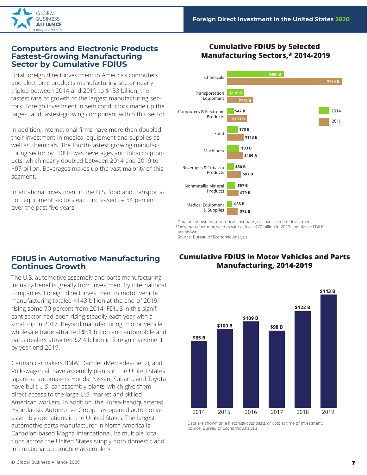

### **Computers and Electronic Products Fastest-Growing Manufacturing Sector by Cumulative FDIUS**

Total foreign direct investment in America's computers and electronic products manufacturing sector nearly tripled between 2014 and 2019 to \$133 billion, the fastest rate of growth of the largest manufacturing sectors. Foreign investment in semiconductors made up the largest and fastest-growing component within this sector.

In addition, international firms have more than doubled their investment in medical equipment and supplies as well as chemicals. The fourth-fastest growing manufacturing sector by FDIUS was beverages and tobacco products, which nearly doubled between 2014 and 2019 to \$97 billion. Beverages makes up the vast majority of this segment.

International investment in the U.S. food and transportation equipment sectors each increased by 54 percent over the past five years.

### **Cumulative FDIUS by Selected Manufacturing Sectors,\* 2014-2019**



Data are shown on a historical-cost basis, or cost at time of investment. \*Only manufacturing sectors with at least \$70 billion in 2019 cumulative FDIUS are shown.

Source: Bureau of Economic Analysis

# **FDIUS in Automotive Manufacturing Continues Growth**

The U.S. automotive assembly and parts manufacturing industry benefits greatly from investment by international companies. Foreign direct investment in motor vehicle manufacturing totaled \$143 billion at the end of 2019, rising some 70 percent from 2014. FDIUS in this significant sector had been rising steadily each year with a small dip in 2017. Beyond manufacturing, motor vehicle wholesale trade attracted \$51 billion and automobile and parts dealers attracted \$2.4 billion in foreign investment by year-end 2019.

German carmakers BMW, Daimler (Mercedes-Benz), and Volkswagen all have assembly plants in the United States. Japanese automakers Honda, Nissan, Subaru, and Toyota have built U.S. car assembly plants, which give them direct access to the large U.S. market and skilled American workers. In addition, the Korea-headquartered Hyundai-Kia Automotive Group has opened automotive assembly operations in the United States. The largest automotive parts manufacturer in North America is Canadian-based Magna International. Its multiple locations across the United States supply both domestic and international automobile assemblers.

### **Cumulative FDIUS in Motor Vehicles and Parts Manufacturing, 2014-2019**

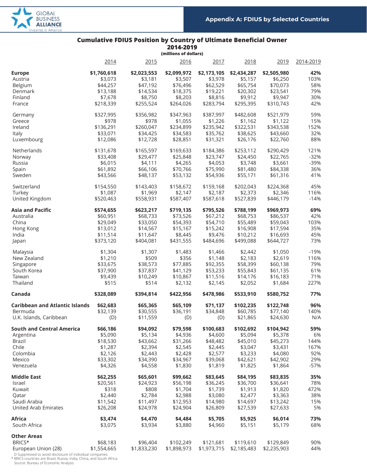

### **Cumulative FDIUS Position by Country of Ultimate Beneficial Owner**

**2014-2019 (millions of dollars)**

|                                       | (Millions of Goliars) |             |             |             |             |             |           |
|---------------------------------------|-----------------------|-------------|-------------|-------------|-------------|-------------|-----------|
|                                       | 2014                  | 2015        | 2016        | 2017        | 2018        | 2019        | 2014-2019 |
| <b>Europe</b>                         | \$1,760,618           | \$2,023,553 | \$2,099,972 | \$2,173,105 | \$2,434,287 | \$2,505,980 | 42%       |
| Austria                               | \$3,073               | \$3,181     | \$3,507     | \$3,978     | \$5,157     | \$6,250     | 103%      |
|                                       |                       |             |             |             |             |             | 58%       |
| Belgium                               | \$44,257              | \$47,192    | \$76,496    | \$62,529    | \$65,754    | \$70,073    |           |
| Denmark                               | \$13,188              | \$14,534    | \$18,375    | \$19,221    | \$20,302    | \$23,541    | 79%       |
| Finland                               | \$7,678               | \$8,750     | \$8,203     | \$8,816     | \$9,912     | \$9,947     | 30%       |
| France                                | \$218,339             | \$255,524   | \$264,026   | \$283,794   | \$295,395   | \$310,743   | 42%       |
| Germany                               | \$327,995             | \$356,982   | \$347,963   | \$387,997   | \$482,608   | \$521,979   | 59%       |
| Greece                                | \$978                 | \$978       | \$1,055     | \$1,226     | \$1,162     | \$1,122     | 15%       |
| Ireland                               | \$136,291             | \$260,047   | \$234,899   | \$235,942   | \$322,531   | \$343,538   | 152%      |
| Italy                                 | \$33,071              | \$34,425    | \$34,583    | \$35,762    | \$38,625    | \$43,660    | 32%       |
| Luxembourg                            | \$12,086              | \$12,728    | \$28,851    | \$31,321    | \$26,176    | \$22,760    | 88%       |
|                                       |                       |             |             |             |             |             |           |
| Netherlands                           | \$131,678             | \$165,597   | \$169,633   | \$184,386   | \$253,112   | \$290,429   | 121%      |
| Norway                                | \$33,408              | \$29,477    | \$25,848    | \$23,747    | \$24,450    | \$22,765    | $-32%$    |
| Russia                                | \$6,015               | \$4,111     | \$4,265     | \$4,053     | \$3,748     | \$3,661     | -39%      |
| Spain                                 | \$61,892              | \$66,106    | \$70,766    | \$75,990    | \$81,480    | \$84,338    | 36%       |
| Sweden                                | \$43,566              | \$48,137    | \$53,132    | \$54,936    | \$55,171    | \$61,316    | 41%       |
| Switzerland                           | \$154,550             | \$143,403   | \$158,672   | \$159,168   | \$202,043   | \$224,368   | 45%       |
| Turkey                                | \$1,087               | \$1,969     | \$2,147     | \$2,187     | \$2,373     | \$2,346     | 116%      |
| United Kingdom                        | \$520,463             | \$558,931   | \$587,407   | \$587,618   | \$527,839   | \$446,179   | $-14%$    |
| <b>Asia and Pacific</b>               | \$574,655             | \$623,217   | \$719,135   | \$795,526   | \$788,199   | \$969,973   | 69%       |
|                                       |                       |             |             |             |             |             |           |
| Australia                             | \$60,951              | \$68,733    | \$73,526    | \$67,212    | \$68,753    | \$86,537    | 42%       |
| China                                 | \$29,049              | \$33,050    | \$54,393    | \$54,710    | \$55,489    | \$59,043    | 103%      |
| Hong Kong                             | \$13,012              | \$14,567    | \$15,167    | \$15,242    | \$16,908    | \$17,594    | 35%       |
| India                                 | \$11,514              | \$11,647    | \$8,445     | \$9,476     | \$10,212    | \$16,693    | 45%       |
| Japan                                 | \$373,120             | \$404,081   | \$431,555   | \$484,696   | \$499,088   | \$644,727   | 73%       |
| Malaysia                              | \$1,304               | \$1,307     | \$1,483     | \$1,466     | \$2,442     | \$1,050     | $-19%$    |
| New Zealand                           | \$1,210               | \$509       | \$356       | \$1,148     | \$2,183     | \$2,619     | 116%      |
| Singapore                             | \$33,675              | \$38,573    | \$77,885    | \$92,355    | \$58,399    | \$60,138    | 79%       |
| South Korea                           | \$37,900              | \$37,837    | \$41,129    | \$53,233    | \$55,843    | \$61,135    | 61%       |
| Taiwan                                | \$9,439               | \$10,249    |             | \$11,516    | \$14,176    | \$16,183    | 71%       |
|                                       |                       |             | \$10,867    |             |             |             |           |
| Thailand                              | \$515                 | \$514       | \$2,132     | \$2,145     | \$2,052     | \$1,684     | 227%      |
| Canada                                | \$328,089             | \$394,814   | \$422,956   | \$478,986   | \$533,910   | \$580,752   | 77%       |
| <b>Caribbean and Atlantic Islands</b> | \$62,683              | \$65,365    | \$65,109    | \$71,137    | \$102,235   | \$122,748   | 96%       |
| Bermuda                               | \$32,139              | \$30,555    | \$36,191    | \$34,848    | \$60,785    | \$77,140    | 140%      |
| U.K. Islands, Caribbean               | (D)                   | \$11,559    | (D)         | (D)         | \$21,865    | \$24,630    | N/A       |
| <b>South and Central America</b>      | \$66,186              | \$94,092    | \$79,598    | \$100,683   | \$102,692   | \$104,942   | 59%       |
| Argentina                             | \$5,090               | \$5,134     | \$4,936     | \$4,600     | \$5,094     | \$5,378     | 6%        |
| Brazil                                | \$18,530              | \$43,662    | \$31,266    | \$48,482    | \$45,010    | \$45,273    | 144%      |
| Chile                                 | \$1,287               | \$2,394     | \$2,545     | \$2,445     | \$3,047     | \$3,431     | 167%      |
|                                       |                       |             |             |             |             |             |           |
| Colombia                              | \$2,126               | \$2,443     | \$2,428     | \$2,577     | \$3,233     | \$4,080     | 92%       |
| Mexico                                | \$33,302              | \$34,390    | \$34,967    | \$39,068    | \$42,621    | \$42,902    | 29%       |
| Venezuela                             | \$4,326               | \$4,558     | \$1,830     | \$1,819     | \$1,825     | \$1,864     | $-57%$    |
| <b>Middle East</b>                    | \$62,255              | \$65,601    | \$99,662    | \$83,645    | \$84,195    | \$83,835    | 35%       |
| Israel                                | \$20,561              | \$24,923    | \$56,198    | \$36,245    | \$36,700    | \$36,641    | 78%       |
| Kuwait                                | \$318                 | \$808       | \$1,704     | \$1,739     | \$1,913     | \$1,820     | 472%      |
| Qatar                                 | \$2,440               | \$2,784     | \$2,988     | \$3,080     | \$2,477     | \$3,363     | 38%       |
| Saudi Arabia                          | \$11,542              | \$11,497    | \$12,953    | \$14,980    | \$14,697    | \$13,242    | 15%       |
| United Arab Emirates                  | \$26,208              | \$24,978    | \$24,904    | \$26,809    | \$27,539    | \$27,633    | 5%        |
| Africa                                | \$3,474               |             | \$4,484     |             |             |             | 73%       |
|                                       |                       | \$4,470     |             | \$5,705     | \$5,925     | \$6,014     |           |
| South Africa                          | \$3,075               | \$3,934     | \$3,880     | \$4,960     | \$5,151     | \$5,179     | 68%       |
| <b>Other Areas</b>                    |                       |             |             |             |             |             |           |
| BRICS*                                | \$68,183              | \$96,404    | \$102,249   | \$121,681   | \$119,610   | \$129,849   | 90%       |
| European Union (28)                   | \$1,554,665           | \$1,833,230 | \$1,898,973 | \$1,973,715 | \$2,185,483 | \$2,235,903 | 44%       |

D Suppressed to avoid disclosure of individual companies. \* BRICS countries are Brazil, Russia, India, China, and South Africa. Source: Bureau of Economic Analysis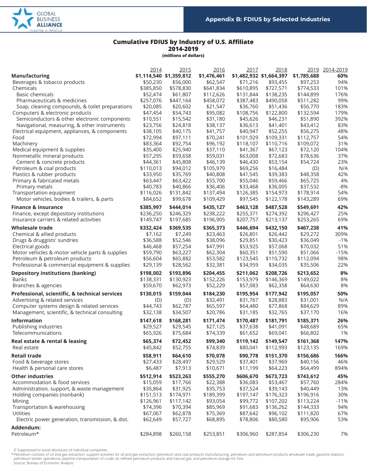

### **Cumulative FDIUS by Industry of U.S. Affiliate 2014-2019**

**(millions of dollars)**

|                                                         | 2014                  | 2015                    | 2016                  | 2017                    | 2018                   |                        | 2019 2014-2019 |
|---------------------------------------------------------|-----------------------|-------------------------|-----------------------|-------------------------|------------------------|------------------------|----------------|
| <b>Manufacturing</b>                                    |                       | \$1,114,540 \$1,359,812 | \$1,476,461           | \$1,482,932 \$1,664,397 |                        | \$1,785,688            | 60%            |
| Beverages & tobacco products                            | \$50,230              | \$56,000                | \$62,547              | \$71,216                | \$93,455               | \$97,253               | 94%            |
| Chemicals                                               | \$385,850             | \$578,830               | \$641,834             | \$610,895               | \$727,571              | \$774,533              | 101%           |
| <b>Basic chemicals</b>                                  | \$52,474              | \$61,807                | \$112,626             | \$131,844               | \$138,235              | \$144,899              | 176%           |
| Pharmaceuticals & medicines                             | \$257,076             | \$447,164               | \$458,072             | \$387,483               | \$490,058              | \$511,282              | 99%            |
| Soap, cleaning compounds, & toilet preparations         | \$20,085              | \$20,602                | \$21,547              | \$36,760                | \$51,436               | \$56,770               | 183%           |
| Computers & electronic products                         | \$47,454              | \$54,743                | \$95,082              | \$108,756               | \$122,800              | \$132,594              | 179%           |
| Semiconductors & other electronic components            | \$10,551              | \$15,542                | \$31,180              | \$45,626                | \$46,231               | \$51,890               | 392%           |
| Navigational, measuring, & other instruments            | \$23,756              | \$24,818                | \$38,137              | \$36,613                | \$41,401               | \$43,412               | 83%            |
| Electrical equipment, appliances, & components          | \$38,105              | \$40,175                | \$41,757              | \$40,947                | \$52,255               | \$56,275               | 48%            |
| Food                                                    | \$72,994              | \$97,111                | \$70,241              | \$101,929               | \$109,331              | \$112,757              | 54%            |
| Machinery                                               | \$83,364              | \$92,754                | \$96,192              | \$118,107               | \$110,716              | \$109,072              | 31%            |
| Medical equipment & supplies                            | \$35,400              | \$25,940                | \$37,110              | \$41,367                | \$67,123               | \$72,120               | 104%           |
| Nonmetallic mineral products                            | \$57,295              | \$59,658                | \$59,031              | \$63,008                | \$72,683               | \$78,636               | 37%            |
| Cement & concrete products<br>Petroleum & coal products | \$44,361<br>\$110,013 | \$45,808<br>\$94,012    | \$46,139<br>\$105,979 | \$46,430<br>\$69,256    | \$53,154<br>\$16,484   | \$54,724               | 23%<br>N/A     |
| Plastics & rubber products                              | \$33,950              | \$35,769                | \$40,808              | \$41,545                |                        | (D)<br>\$48,358        | 42%            |
| Primary & fabricated metals                             | \$63,447              | \$63,422                | \$55,700              | \$55,046                | \$39,383<br>\$59,466   | \$65,725               | 4%             |
| Primary metals                                          | \$40,783              | \$40,866                | \$36,406              | \$33,468                | \$36,005               | \$37,532               | $-8%$          |
| Transportation equipment                                | \$116,026             | \$131,842               | \$137,494             | \$126,385               | \$154,973              | \$178,914              | 54%            |
| Motor vehicles, bodies & trailers, & parts              | \$84,652              | \$99,678                | \$109,429             | \$97,545                | \$122,178              | \$143,289              | 69%            |
|                                                         |                       |                         |                       |                         |                        |                        |                |
| <b>Finance &amp; insurance</b>                          | \$385,997             | \$444,014               | \$435,127             | \$463,128               | \$487,528              | \$549,691              | 42%            |
| Finance, except depository institutions                 | \$236,250             | \$246,329               | \$238,222             | \$255,371               | \$274,392              | \$296,427              | 25%            |
| Insurance carriers & related activities                 | \$149,747             | \$197,685               | \$196,905             | \$207,757               | \$213,137              | \$253,265              | 69%            |
| Wholesale trade                                         | \$332,424             | \$369,535               | \$365,373             | \$446,694               | \$432,150              | \$467,238              | 41%            |
| Chemical & allied products                              | \$7,162               | \$7,249                 | \$23,463              | \$26,801                | \$26,442               | \$29,272               | 309%           |
| Drugs & druggists' sundries                             | \$36,588              | \$52,546                | \$38,096              | \$29,851                | \$30,423               | \$36,049               | $-1%$          |
| Electrical goods                                        | \$46,468              | \$57,254                | \$47,991              | \$53,925                | \$57,068               | \$70,032               | 51%            |
| Motor vehicles & motor vehicle parts & supplies         | \$59,790              | \$63,227                | \$62,304              | \$60,351                | \$51,590               | \$51,066               | $-15%$         |
| Petroleum & petroleum products                          | \$56,604              | \$65,882                | \$53,582              | \$123,545               | \$110,732              | \$112,094              | 98%            |
| Professional & commercial equipment & supplies          | \$29,139              | \$28,562                | \$32,381              | \$34,959                | \$34,035               | \$35,506               | 22%            |
| <b>Depository institutions (banking)</b>                | \$198,002             | \$193,896               | \$204,455             | \$211,062               | \$208,726              | \$213,652              | 8%             |
| <b>Banks</b>                                            | \$138,331             | \$130,923               | \$152,226             | \$153,979               | \$146,369              | \$149,022              | 8%             |
| Branches & agencies                                     | \$59,670              | \$62,973                | \$52,229              | \$57,083                | \$62,358               | \$64,630               | 8%             |
| Professional, scientific, & technical services          | \$130,015             | \$159,044               | \$184,230             | \$195,954               | \$177,942              | \$195,057              | 50%            |
| Advertising & related services                          | (D)                   | (D)                     | \$32,491              | \$31,767                | \$28,883               | \$31,001               | N/A            |
| Computer systems design & related services              | \$44,743              | \$62,787                | \$65,597              | \$64,480                | \$77,868               | \$84,629               | 89%            |
| Management, scientific, & technical consulting          | \$32,138              | \$34,507                | \$20,786              | \$31,185                | \$32,765               | \$37,170               | 16%            |
| <b>Information</b>                                      | \$147,618             | \$168,281               | \$171,474             | \$170,487               | \$181,791              | \$185,371              | 26%            |
| Publishing industries                                   | \$29,527              | \$29,545                | \$27,125              | \$37,638                | \$41,091               | \$48,689               | 65%            |
| Telecommunications                                      | \$65,926              | \$75,684                | \$74,339              | \$61,652                | \$69,041               | \$66,802               | 1%             |
| Real estate & rental & leasing                          | \$65,374              | \$72,452                | \$99,340              | \$119,142               | \$149,547              | \$161,368              | 147%           |
| Real estate                                             | \$45,842              | \$52,755                | \$74,839              | \$80,041                | \$112,993              | \$123,135              | 169%           |
| <b>Retail trade</b>                                     | \$58,911              | \$64,610                | \$70,078              | \$90.778                | \$151,370              | \$156,686              | 166%           |
| Food & beverage stores                                  | \$27,433              | \$28,497                | \$29,529              | \$37,401                | \$37,969               | \$40,156               | 46%            |
| Health & personal care stores                           | \$6,487               | \$7,913                 | \$10,671              | \$11,199                | \$64,223               | \$64,499               | 894%           |
|                                                         |                       |                         |                       |                         |                        |                        |                |
| <b>Other industries</b>                                 | \$512,914             | \$523,263               | \$555,270             | \$606,670               | \$673,723              | \$743,612              | 45%            |
| Accommodation & food services                           | \$15,059              | \$17,766                | \$22,388              | \$36,083                | \$53,467               | \$57,760               | 284%           |
| Administration, support, & waste management             | \$35,864              | \$31,925                | \$35,753              | \$37,524                | \$39,143               | \$40,449               | 13%            |
| Holding companies (nonbank)<br>Mining                   | \$151,513             | \$174,971               | \$189,399             | \$197,147               | \$176,323              | \$196,916              | 30%            |
| Transportation & warehousing                            | \$126,961<br>\$74,396 | \$117,142<br>\$70,394   | \$93,054<br>\$85,969  | \$99,772<br>\$91,683    | \$107,202<br>\$136,262 | \$113,224<br>\$144,333 | $-11%$<br>94%  |
| <b>Utilities</b>                                        | \$67,067              | \$62,878                | \$75,369              | \$87,642                | \$96,102               | \$111,820              | 67%            |
| Electric power generation, transmission, & dist.        | \$62,649              | \$57,727                | \$68,895              | \$78,806                | \$80,580               | \$95,906               | 53%            |
|                                                         |                       |                         |                       |                         |                        |                        |                |
| Addendum:                                               |                       |                         |                       |                         |                        |                        |                |
| Petroleum*                                              | \$284,898             | \$260,158               | \$253,851             | \$306,960               | \$287,854              | \$306,230              | 7%             |

D Suppressed to avoid disclosure of individual companies.<br>\*Petroleum consists of oil and gas extraction; support activities for oil and gas extraction; petroleum and coal products manufacturing; petroleum and petroleum pro